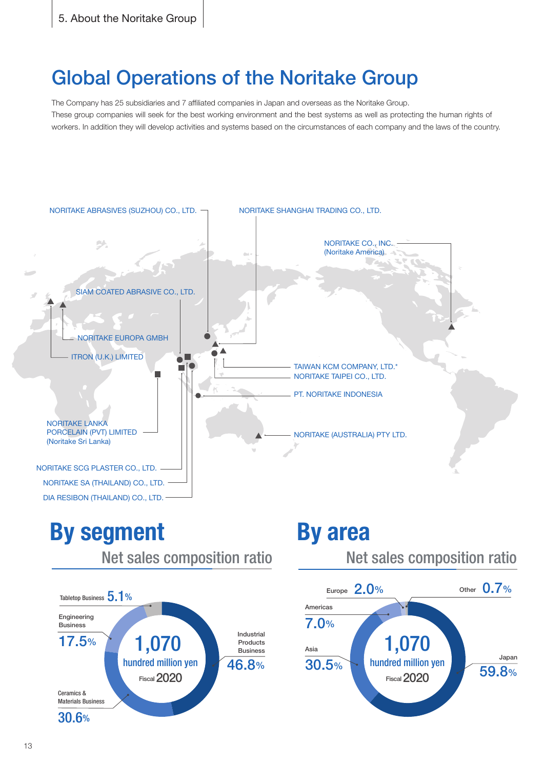## **Global Operations of the Noritake Group**

The Company has 25 subsidiaries and 7 affiliated companies in Japan and overseas as the Noritake Group. These group companies will seek for the best working environment and the best systems as well as protecting the human rights of workers. In addition they will develop activities and systems based on the circumstances of each company and the laws of the country.



**By** segment Net sales composition ratio 1,070 hundred million yen **Fiscal 2020** Industrial Products Business 46.8% Tabletop Business 5.1% Engineering **Business** 17.5% Ceramics & **Materials Business** 30.6%

## **area By**

Net sales composition ratio